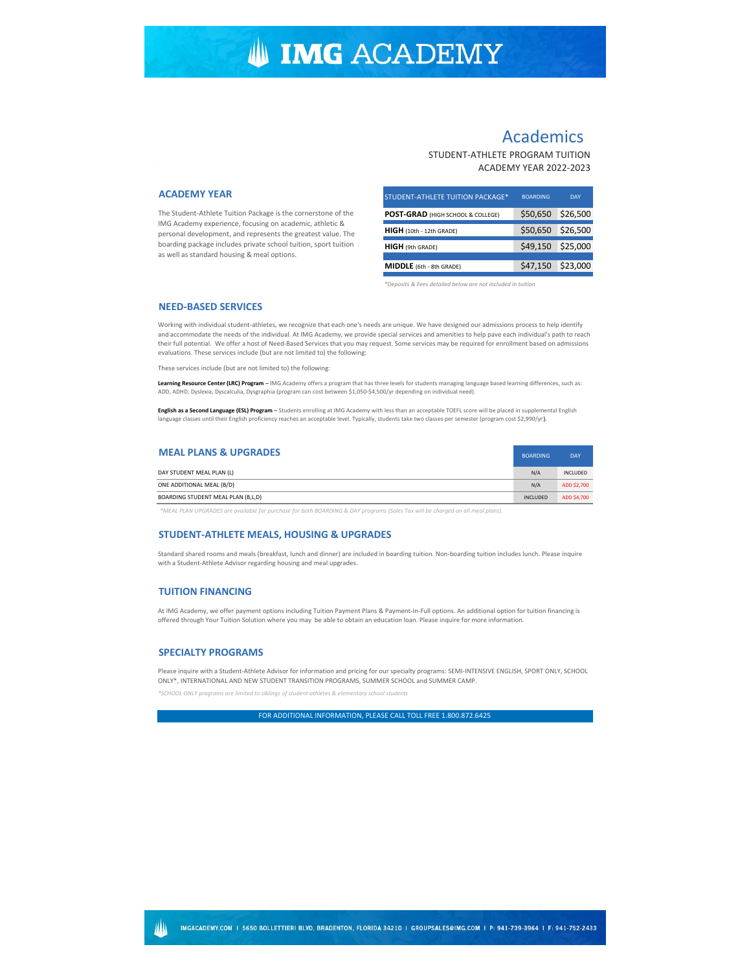# **IMG ACADEMY**

# Academics

# STUDENT-ATHLETE PROGRAM TUITION ACADEMY YEAR 2022-2023

## **ACADEMY YEAR**

The Student-Athlete Tuition Package is the cornerstone of the IMG Academy experience, focusing on academic, athletic & personal development, and represents the greatest value. The boarding package includes private school tuition, sport tuition as well as standard housing & meal options.

| STUDENT-ATHLETE TUITION PACKAGE*  | <b>BOARDING</b> | <b>DAY</b> |
|-----------------------------------|-----------------|------------|
| POST-GRAD (HIGH SCHOOL & COLLEGE) | \$50,650        | \$26,500   |
| HIGH (10th - 12th GRADE)          | \$50,650        | \$26,500   |
| <b>HIGH</b> (9th GRADE)           | \$49,150        | \$25,000   |
| MIDDLE (6th - 8th GRADE)          | \$47,150        | \$23,000   |

*\*Deposits & Fees detailed below are not included in tuition*

### **NEED-BASED SERVICES**

Working with individual student-athletes, we recognize that each one's needs are unique. We have designed our admissions process to help identify and accommodate the needs of the individual. At IMG Academy, we provide special services and amenities to help pave each individual's path to reach their full potential. We offer a host of Need-Based Services that you may request. Some services may be required for enrollment based on admissions evaluations. These services include (but are not limited to) the following:

These services include (but are not limited to) the following:

**Learning Resource Center (LRC) Program** – IMG Academy offers a program that has three levels for students managing language based learning differences, such as: ADD, ADHD, Dyslexia, Dyscalculia, Dysgraphia (program can cost between \$1,050-\$4,500/yr depending on individual need).

**English as a Second Language (ESL) Program** – Students enrolling at IMG Academy with less than an acceptable TOEFL score will be placed in supplemental English language classes until their English proficiency reaches an acceptable level. Typically, students take two classes per semester (program cost \$2,990/yr).

| <b>MEAL PLANS &amp; UPGRADES</b>   | <b>BOARDING</b> | <b>DAY</b>  |
|------------------------------------|-----------------|-------------|
| DAY STUDENT MEAL PLAN (L)          | N/A             | INCLUDED    |
| ONE ADDITIONAL MEAL (B/D)          | N/A             | ADD \$2,700 |
| BOARDING STUDENT MEAL PLAN (B,L,D) | <b>INCLUDED</b> | ADD \$4,700 |

*\*MEAL PLAN UPGRADES are available for purchase for both BOARDING & DAY programs (Sales Tax will be charged on all meal plans).*

### **STUDENT-ATHLETE MEALS, HOUSING & UPGRADES**

Standard shared rooms and meals (breakfast, lunch and dinner) are included in boarding tuition. Non-boarding tuition includes lunch. Please inquire with a Student-Athlete Advisor regarding housing and meal upgrades.

### **TUITION FINANCING**

At IMG Academy, we offer payment options including Tuition Payment Plans & Payment-In-Full options. An additional option for tuition financing is offered through Your Tuition Solution where you may be able to obtain an education loan. Please inquire for more information.

### **SPECIALTY PROGRAMS**

Please inquire with a Student-Athlete Advisor for information and pricing for our specialty programs: SEMI-INTENSIVE ENGLISH, SPORT ONLY, SCHOOL ONLY\*, INTERNATIONAL AND NEW STUDENT TRANSITION PROGRAMS, SUMMER SCHOOL and SUMMER CAMP.

*\*SCHOOL ONLY programs are limited to siblings of student-athletes & elementary school students*

FOR ADDITIONAL INFORMATION, PLEASE CALL TOLL FREE 1.800.872.6425